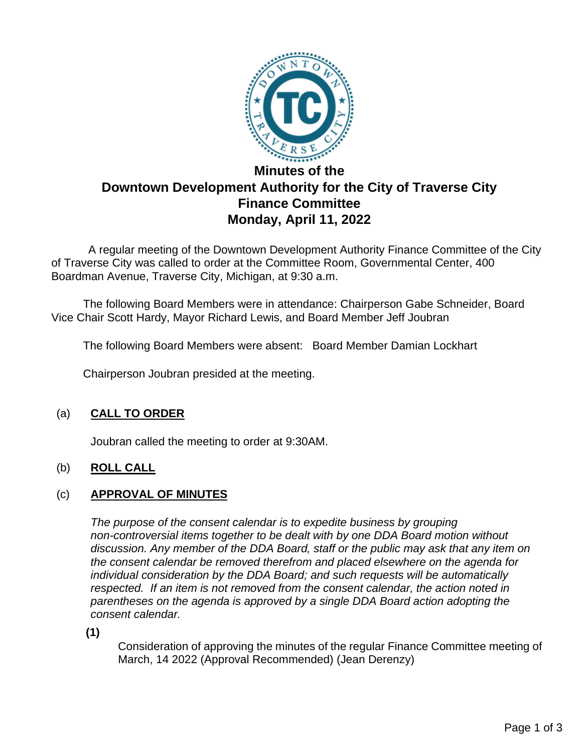

# **Downtown Development Authority for the City of Traverse City Finance Committee Monday, April 11, 2022**

 A regular meeting of the Downtown Development Authority Finance Committee of the City of Traverse City was called to order at the Committee Room, Governmental Center, 400 Boardman Avenue, Traverse City, Michigan, at 9:30 a.m.

The following Board Members were in attendance: Chairperson Gabe Schneider, Board Vice Chair Scott Hardy, Mayor Richard Lewis, and Board Member Jeff Joubran

The following Board Members were absent: Board Member Damian Lockhart

Chairperson Joubran presided at the meeting.

# (a) **CALL TO ORDER**

Joubran called the meeting to order at 9:30AM.

## (b) **ROLL CALL**

#### (c) **APPROVAL OF MINUTES**

*The purpose of the consent calendar is to expedite business by grouping non-controversial items together to be dealt with by one DDA Board motion without discussion. Any member of the DDA Board, staff or the public may ask that any item on the consent calendar be removed therefrom and placed elsewhere on the agenda for individual consideration by the DDA Board; and such requests will be automatically respected. If an item is not removed from the consent calendar, the action noted in parentheses on the agenda is approved by a single DDA Board action adopting the consent calendar.*

**(1)**

Consideration of approving the minutes of the regular Finance Committee meeting of March, 14 2022 (Approval Recommended) (Jean Derenzy)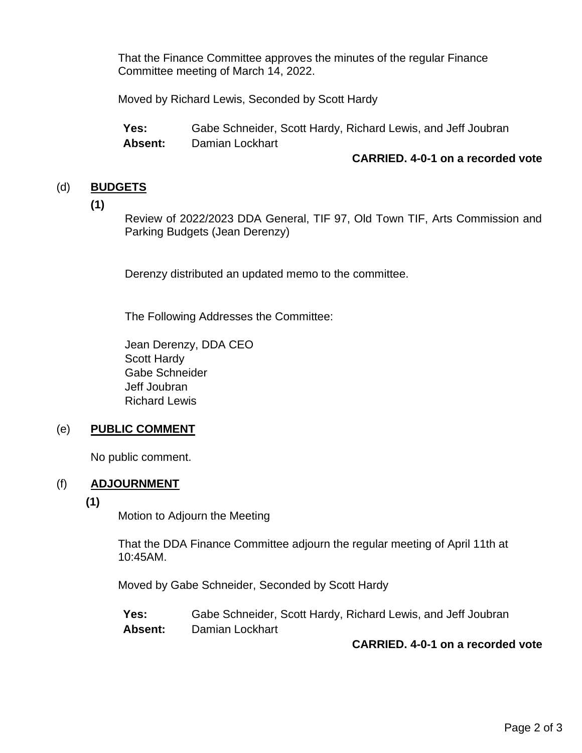That the Finance Committee approves the minutes of the regular Finance Committee meeting of March 14, 2022.

Moved by Richard Lewis, Seconded by Scott Hardy

**Yes:** Gabe Schneider, Scott Hardy, Richard Lewis, and Jeff Joubran **Absent:** Damian Lockhart

#### **CARRIED. 4-0-1 on a recorded vote**

## (d) **BUDGETS**

**(1)**

Review of 2022/2023 DDA General, TIF 97, Old Town TIF, Arts Commission and Parking Budgets (Jean Derenzy)

Derenzy distributed an updated memo to the committee.

The Following Addresses the Committee:

Jean Derenzy, DDA CEO Scott Hardy Gabe Schneider Jeff Joubran Richard Lewis

## (e) **PUBLIC COMMENT**

No public comment.

#### (f) **ADJOURNMENT**

**(1)**

Motion to Adjourn the Meeting

That the DDA Finance Committee adjourn the regular meeting of April 11th at 10:45AM.

Moved by Gabe Schneider, Seconded by Scott Hardy

**Yes:** Gabe Schneider, Scott Hardy, Richard Lewis, and Jeff Joubran **Absent:** Damian Lockhart

**CARRIED. 4-0-1 on a recorded vote**